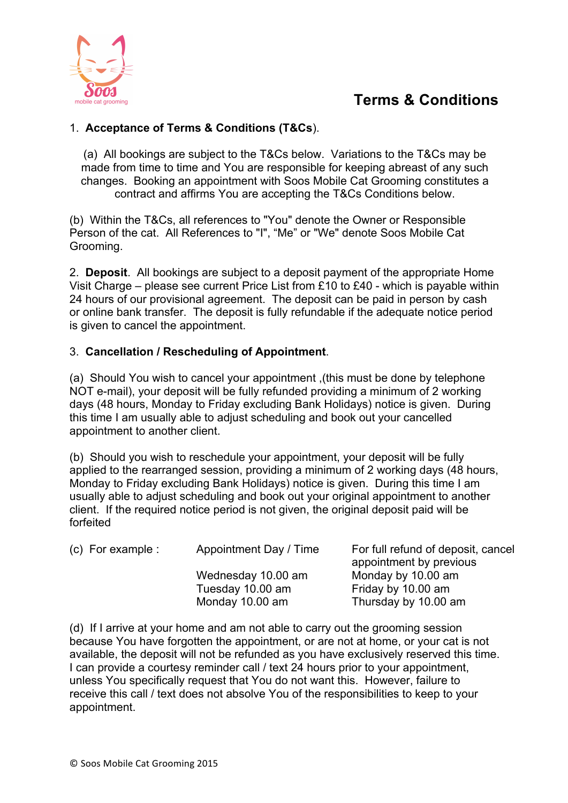

# **Terms & Conditions**

### 1. **Acceptance of Terms & Conditions (T&Cs**).

(a) All bookings are subject to the T&Cs below. Variations to the T&Cs may be made from time to time and You are responsible for keeping abreast of any such changes. Booking an appointment with Soos Mobile Cat Grooming constitutes a contract and affirms You are accepting the T&Cs Conditions below.

(b) Within the T&Cs, all references to "You" denote the Owner or Responsible Person of the cat. All References to "I", "Me" or "We" denote Soos Mobile Cat Grooming.

2. **Deposit**. All bookings are subject to a deposit payment of the appropriate Home Visit Charge – please see current Price List from £10 to £40 - which is payable within 24 hours of our provisional agreement. The deposit can be paid in person by cash or online bank transfer. The deposit is fully refundable if the adequate notice period is given to cancel the appointment.

### 3. **Cancellation / Rescheduling of Appointment**.

(a) Should You wish to cancel your appointment ,(this must be done by telephone NOT e-mail), your deposit will be fully refunded providing a minimum of 2 working days (48 hours, Monday to Friday excluding Bank Holidays) notice is given. During this time I am usually able to adjust scheduling and book out your cancelled appointment to another client.

(b) Should you wish to reschedule your appointment, your deposit will be fully applied to the rearranged session, providing a minimum of 2 working days (48 hours, Monday to Friday excluding Bank Holidays) notice is given. During this time I am usually able to adjust scheduling and book out your original appointment to another client. If the required notice period is not given, the original deposit paid will be forfeited

| $(c)$ For example : | Appointment Day / Time | For full refund of deposit, cancel |
|---------------------|------------------------|------------------------------------|
|                     |                        | appointment by previous            |
|                     | Wednesday 10.00 am     | Monday by 10.00 am                 |
|                     | Tuesday 10.00 am       | Friday by 10.00 am                 |
|                     | Monday 10.00 am        | Thursday by 10.00 am               |
|                     |                        |                                    |

(d) If I arrive at your home and am not able to carry out the grooming session because You have forgotten the appointment, or are not at home, or your cat is not available, the deposit will not be refunded as you have exclusively reserved this time. I can provide a courtesy reminder call / text 24 hours prior to your appointment, unless You specifically request that You do not want this. However, failure to receive this call / text does not absolve You of the responsibilities to keep to your appointment.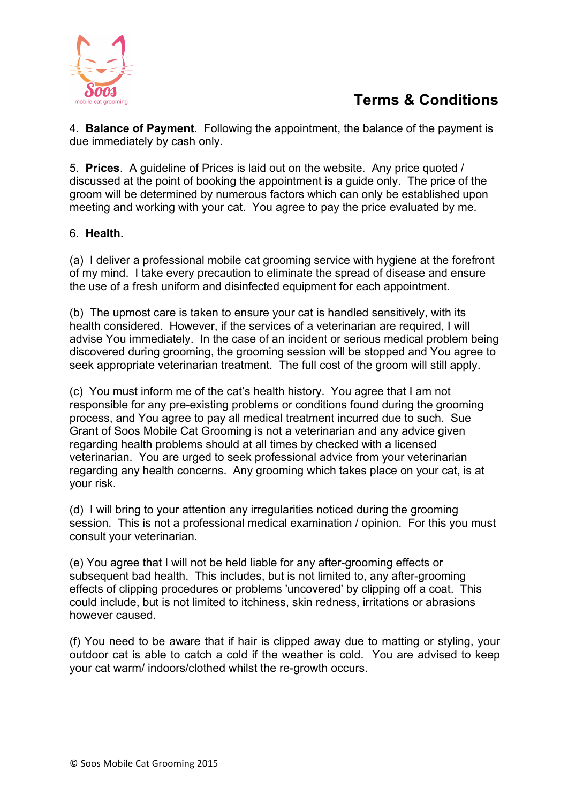

# **Terms & Conditions**

4. **Balance of Payment**. Following the appointment, the balance of the payment is due immediately by cash only.

5. **Prices**. A guideline of Prices is laid out on the website. Any price quoted / discussed at the point of booking the appointment is a guide only. The price of the groom will be determined by numerous factors which can only be established upon meeting and working with your cat. You agree to pay the price evaluated by me.

### 6. **Health.**

(a) I deliver a professional mobile cat grooming service with hygiene at the forefront of my mind. I take every precaution to eliminate the spread of disease and ensure the use of a fresh uniform and disinfected equipment for each appointment.

(b) The upmost care is taken to ensure your cat is handled sensitively, with its health considered. However, if the services of a veterinarian are required, I will advise You immediately. In the case of an incident or serious medical problem being discovered during grooming, the grooming session will be stopped and You agree to seek appropriate veterinarian treatment. The full cost of the groom will still apply.

(c) You must inform me of the cat's health history. You agree that I am not responsible for any pre-existing problems or conditions found during the grooming process, and You agree to pay all medical treatment incurred due to such. Sue Grant of Soos Mobile Cat Grooming is not a veterinarian and any advice given regarding health problems should at all times by checked with a licensed veterinarian. You are urged to seek professional advice from your veterinarian regarding any health concerns. Any grooming which takes place on your cat, is at your risk.

(d) I will bring to your attention any irregularities noticed during the grooming session. This is not a professional medical examination / opinion. For this you must consult your veterinarian.

(e) You agree that I will not be held liable for any after-grooming effects or subsequent bad health. This includes, but is not limited to, any after-grooming effects of clipping procedures or problems 'uncovered' by clipping off a coat. This could include, but is not limited to itchiness, skin redness, irritations or abrasions however caused.

(f) You need to be aware that if hair is clipped away due to matting or styling, your outdoor cat is able to catch a cold if the weather is cold. You are advised to keep your cat warm/ indoors/clothed whilst the re-growth occurs.